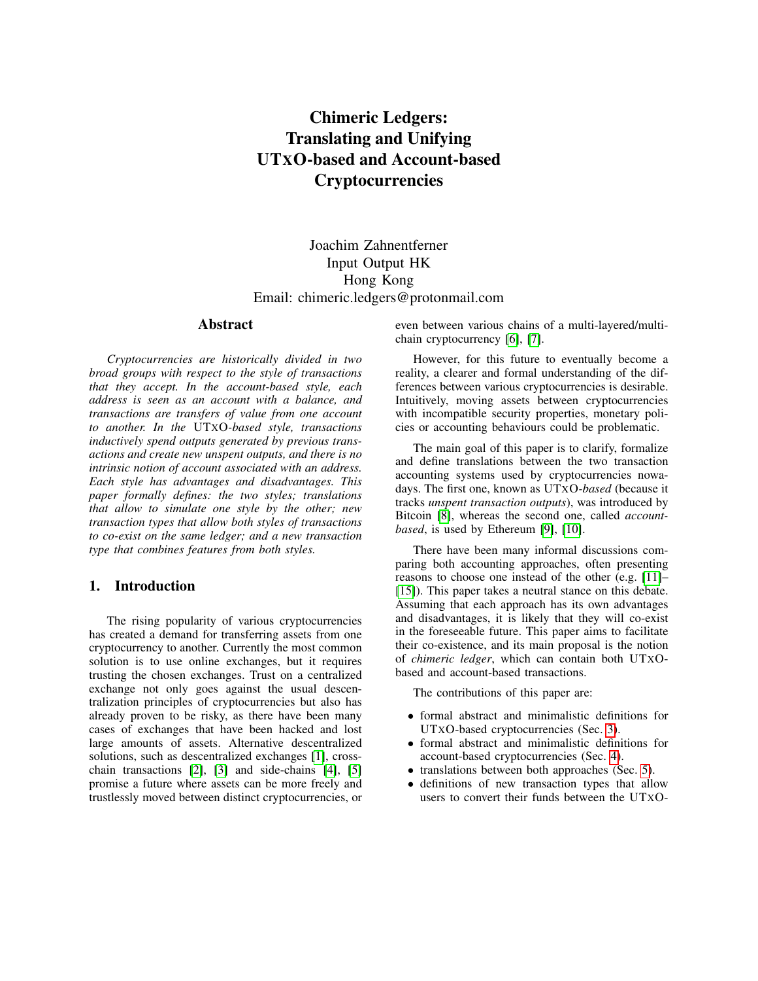# Chimeric Ledgers: Translating and Unifying UTXO-based and Account-based **Cryptocurrencies**

Joachim Zahnentferner Input Output HK Hong Kong Email: chimeric.ledgers@protonmail.com

#### Abstract

*Cryptocurrencies are historically divided in two broad groups with respect to the style of transactions that they accept. In the account-based style, each address is seen as an account with a balance, and transactions are transfers of value from one account to another. In the* UTXO*-based style, transactions inductively spend outputs generated by previous transactions and create new unspent outputs, and there is no intrinsic notion of account associated with an address. Each style has advantages and disadvantages. This paper formally defines: the two styles; translations that allow to simulate one style by the other; new transaction types that allow both styles of transactions to co-exist on the same ledger; and a new transaction type that combines features from both styles.*

# 1. Introduction

The rising popularity of various cryptocurrencies has created a demand for transferring assets from one cryptocurrency to another. Currently the most common solution is to use online exchanges, but it requires trusting the chosen exchanges. Trust on a centralized exchange not only goes against the usual descentralization principles of cryptocurrencies but also has already proven to be risky, as there have been many cases of exchanges that have been hacked and lost large amounts of assets. Alternative descentralized solutions, such as descentralized exchanges [\[1\]](#page-9-0), crosschain transactions [\[2\]](#page-9-1), [\[3\]](#page-9-2) and side-chains [\[4\]](#page-9-3), [\[5\]](#page-9-4) promise a future where assets can be more freely and trustlessly moved between distinct cryptocurrencies, or even between various chains of a multi-layered/multichain cryptocurrency [\[6\]](#page-9-5), [\[7\]](#page-9-6).

However, for this future to eventually become a reality, a clearer and formal understanding of the differences between various cryptocurrencies is desirable. Intuitively, moving assets between cryptocurrencies with incompatible security properties, monetary policies or accounting behaviours could be problematic.

The main goal of this paper is to clarify, formalize and define translations between the two transaction accounting systems used by cryptocurrencies nowadays. The first one, known as UTXO*-based* (because it tracks *unspent transaction outputs*), was introduced by Bitcoin [\[8\]](#page-9-7), whereas the second one, called *accountbased*, is used by Ethereum [\[9\]](#page-9-8), [\[10\]](#page-9-9).

There have been many informal discussions comparing both accounting approaches, often presenting reasons to choose one instead of the other (e.g. [\[11\]](#page-9-10)– [\[15\]](#page-9-11)). This paper takes a neutral stance on this debate. Assuming that each approach has its own advantages and disadvantages, it is likely that they will co-exist in the foreseeable future. This paper aims to facilitate their co-existence, and its main proposal is the notion of *chimeric ledger*, which can contain both UTXObased and account-based transactions.

The contributions of this paper are:

- formal abstract and minimalistic definitions for UTXO-based cryptocurrencies (Sec. [3\)](#page-2-0).
- formal abstract and minimalistic definitions for account-based cryptocurrencies (Sec. [4\)](#page-4-0).
- translations between both approaches (Sec. [5\)](#page-5-0).
- definitions of new transaction types that allow users to convert their funds between the UTXO-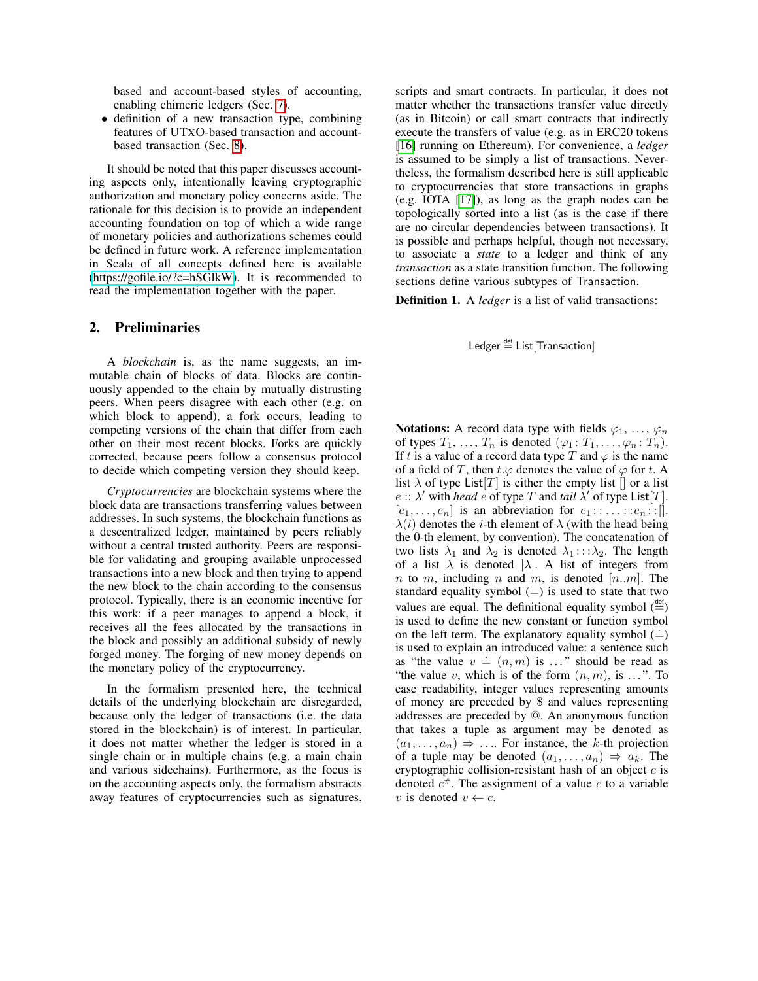based and account-based styles of accounting, enabling chimeric ledgers (Sec. [7\)](#page-8-0).

• definition of a new transaction type, combining features of UTXO-based transaction and accountbased transaction (Sec. [8\)](#page-8-1).

It should be noted that this paper discusses accounting aspects only, intentionally leaving cryptographic authorization and monetary policy concerns aside. The rationale for this decision is to provide an independent accounting foundation on top of which a wide range of monetary policies and authorizations schemes could be defined in future work. A reference implementation in Scala of all concepts defined here is available [\(https://gofile.io/?c=hSGlkW\)](https://gofile.io/?c=hSGlkW). It is recommended to read the implementation together with the paper.

#### <span id="page-1-0"></span>2. Preliminaries

A *blockchain* is, as the name suggests, an immutable chain of blocks of data. Blocks are continuously appended to the chain by mutually distrusting peers. When peers disagree with each other (e.g. on which block to append), a fork occurs, leading to competing versions of the chain that differ from each other on their most recent blocks. Forks are quickly corrected, because peers follow a consensus protocol to decide which competing version they should keep.

*Cryptocurrencies* are blockchain systems where the block data are transactions transferring values between addresses. In such systems, the blockchain functions as a descentralized ledger, maintained by peers reliably without a central trusted authority. Peers are responsible for validating and grouping available unprocessed transactions into a new block and then trying to append the new block to the chain according to the consensus protocol. Typically, there is an economic incentive for this work: if a peer manages to append a block, it receives all the fees allocated by the transactions in the block and possibly an additional subsidy of newly forged money. The forging of new money depends on the monetary policy of the cryptocurrency.

In the formalism presented here, the technical details of the underlying blockchain are disregarded, because only the ledger of transactions (i.e. the data stored in the blockchain) is of interest. In particular, it does not matter whether the ledger is stored in a single chain or in multiple chains (e.g. a main chain and various sidechains). Furthermore, as the focus is on the accounting aspects only, the formalism abstracts away features of cryptocurrencies such as signatures, scripts and smart contracts. In particular, it does not matter whether the transactions transfer value directly (as in Bitcoin) or call smart contracts that indirectly execute the transfers of value (e.g. as in ERC20 tokens [\[16\]](#page-9-12) running on Ethereum). For convenience, a *ledger* is assumed to be simply a list of transactions. Nevertheless, the formalism described here is still applicable to cryptocurrencies that store transactions in graphs (e.g. IOTA [\[17\]](#page-9-13)), as long as the graph nodes can be topologically sorted into a list (as is the case if there are no circular dependencies between transactions). It is possible and perhaps helpful, though not necessary, to associate a *state* to a ledger and think of any *transaction* as a state transition function. The following sections define various subtypes of Transaction.

<span id="page-1-1"></span>Definition 1. A *ledger* is a list of valid transactions:

# Ledger  $\stackrel{\text{def}}{=}$  List[Transaction]

**Notations:** A record data type with fields  $\varphi_1, \ldots, \varphi_n$ of types  $T_1, \ldots, T_n$  is denoted  $(\varphi_1: T_1, \ldots, \varphi_n: T_n)$ . If t is a value of a record data type T and  $\varphi$  is the name of a field of T, then  $t.\varphi$  denotes the value of  $\varphi$  for t. A list  $\lambda$  of type List  $[T]$  is either the empty list  $[T]$  or a list  $e$  ::  $\lambda'$  with *head*  $e$  of type T and *tail*  $\lambda'$  of type List[T].  $[e_1, \ldots, e_n]$  is an abbreviation for  $e_1 : \ldots : e_n : [\cdot]$ .  $\lambda(i)$  denotes the *i*-th element of  $\lambda$  (with the head being the 0-th element, by convention). The concatenation of two lists  $\lambda_1$  and  $\lambda_2$  is denoted  $\lambda_1$ :: $\lambda_2$ . The length of a list  $\lambda$  is denoted  $|\lambda|$ . A list of integers from n to m, including n and m, is denoted  $[n..m]$ . The standard equality symbol  $(=)$  is used to state that two values are equal. The definitional equality symbol  $\left(\frac{\text{det}}{\epsilon}\right)$ is used to define the new constant or function symbol on the left term. The explanatory equality symbol  $(\dot =)$ is used to explain an introduced value: a sentence such as used to explain an introduced value, a sentence such<br>as "the value  $v = (n, m)$  is ..." should be read as "the value v, which is of the form  $(n, m)$ , is ...". To ease readability, integer values representing amounts of money are preceded by \$ and values representing addresses are preceded by @. An anonymous function that takes a tuple as argument may be denoted as  $(a_1, \ldots, a_n) \Rightarrow \ldots$  For instance, the k-th projection of a tuple may be denoted  $(a_1, \ldots, a_n) \Rightarrow a_k$ . The cryptographic collision-resistant hash of an object  $c$  is denoted  $c^*$ . The assignment of a value c to a variable v is denoted  $v \leftarrow c$ .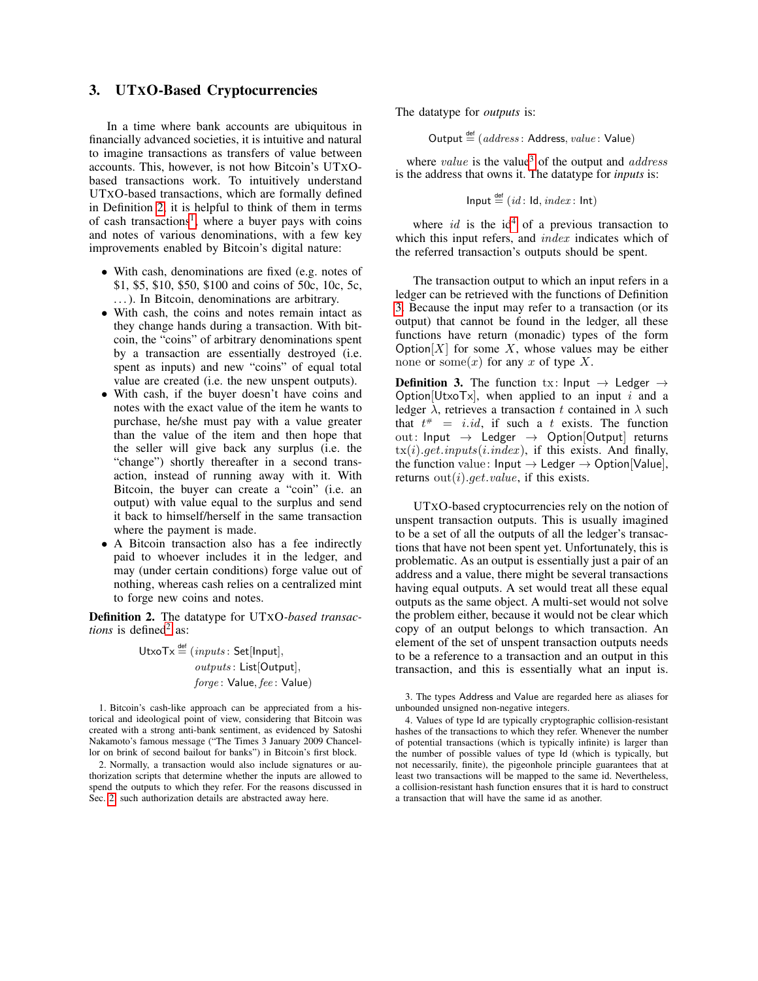### <span id="page-2-0"></span>3. UTXO-Based Cryptocurrencies

In a time where bank accounts are ubiquitous in financially advanced societies, it is intuitive and natural to imagine transactions as transfers of value between accounts. This, however, is not how Bitcoin's UTXObased transactions work. To intuitively understand UTXO-based transactions, which are formally defined in Definition [2,](#page-2-1) it is helpful to think of them in terms of cash transactions<sup>[1](#page-2-2)</sup>, where a buyer pays with coins and notes of various denominations, with a few key improvements enabled by Bitcoin's digital nature:

- With cash, denominations are fixed (e.g. notes of \$1, \$5, \$10, \$50, \$100 and coins of 50c, 10c, 5c, . . . ). In Bitcoin, denominations are arbitrary.
- With cash, the coins and notes remain intact as they change hands during a transaction. With bitcoin, the "coins" of arbitrary denominations spent by a transaction are essentially destroyed (i.e. spent as inputs) and new "coins" of equal total value are created (i.e. the new unspent outputs).
- With cash, if the buyer doesn't have coins and notes with the exact value of the item he wants to purchase, he/she must pay with a value greater than the value of the item and then hope that the seller will give back any surplus (i.e. the "change") shortly thereafter in a second transaction, instead of running away with it. With Bitcoin, the buyer can create a "coin" (i.e. an output) with value equal to the surplus and send it back to himself/herself in the same transaction where the payment is made.
- A Bitcoin transaction also has a fee indirectly paid to whoever includes it in the ledger, and may (under certain conditions) forge value out of nothing, whereas cash relies on a centralized mint to forge new coins and notes.

<span id="page-2-1"></span>Definition 2. The datatype for UTXO*-based transactions* is defined<sup>[2](#page-2-3)</sup> as:

> $UtxoTx \stackrel{\text{def}}{=} (inputs: Set|Input],$ outputs : List[Output], forge: Value, fee : Value)

<span id="page-2-2"></span>1. Bitcoin's cash-like approach can be appreciated from a historical and ideological point of view, considering that Bitcoin was created with a strong anti-bank sentiment, as evidenced by Satoshi Nakamoto's famous message ("The Times 3 January 2009 Chancellor on brink of second bailout for banks") in Bitcoin's first block.

<span id="page-2-3"></span>2. Normally, a transaction would also include signatures or authorization scripts that determine whether the inputs are allowed to spend the outputs to which they refer. For the reasons discussed in Sec. [2,](#page-1-0) such authorization details are abstracted away here.

The datatype for *outputs* is:

Output  $\stackrel{\text{def}}{=}$  (*address* : Address, *value* : Value)

where *value* is the value<sup>[3](#page-2-4)</sup> of the output and *address* is the address that owns it. The datatype for *inputs* is:

Input 
$$
\stackrel{\text{def}}{=} (id: \text{Id}, \text{index}: \text{Int})
$$

where  $id$  is the  $id<sup>4</sup>$  $id<sup>4</sup>$  $id<sup>4</sup>$  of a previous transaction to which this input refers, and *index* indicates which of the referred transaction's outputs should be spent.

The transaction output to which an input refers in a ledger can be retrieved with the functions of Definition [3.](#page-2-6) Because the input may refer to a transaction (or its output) that cannot be found in the ledger, all these functions have return (monadic) types of the form Option $[X]$  for some X, whose values may be either none or some $(x)$  for any x of type X.

<span id="page-2-6"></span>**Definition 3.** The function tx: Input  $\rightarrow$  Ledger  $\rightarrow$ Option[UtxoTx], when applied to an input i and a ledger  $\lambda$ , retrieves a transaction t contained in  $\lambda$  such that  $t^* = i.id$ , if such a t exists. The function out: Input  $\rightarrow$  Ledger  $\rightarrow$  Option[Output] returns  $tx(i).get.inputs(i.index)$ , if this exists. And finally, the function value:  $Input \rightarrow$  Ledger  $\rightarrow$  Option[Value], returns  $out(i)$ .*qet.value*, if this exists.

UTXO-based cryptocurrencies rely on the notion of unspent transaction outputs. This is usually imagined to be a set of all the outputs of all the ledger's transactions that have not been spent yet. Unfortunately, this is problematic. As an output is essentially just a pair of an address and a value, there might be several transactions having equal outputs. A set would treat all these equal outputs as the same object. A multi-set would not solve the problem either, because it would not be clear which copy of an output belongs to which transaction. An element of the set of unspent transaction outputs needs to be a reference to a transaction and an output in this transaction, and this is essentially what an input is.

<span id="page-2-4"></span><sup>3.</sup> The types Address and Value are regarded here as aliases for unbounded unsigned non-negative integers.

<span id="page-2-5"></span><sup>4.</sup> Values of type Id are typically cryptographic collision-resistant hashes of the transactions to which they refer. Whenever the number of potential transactions (which is typically infinite) is larger than the number of possible values of type Id (which is typically, but not necessarily, finite), the pigeonhole principle guarantees that at least two transactions will be mapped to the same id. Nevertheless, a collision-resistant hash function ensures that it is hard to construct a transaction that will have the same id as another.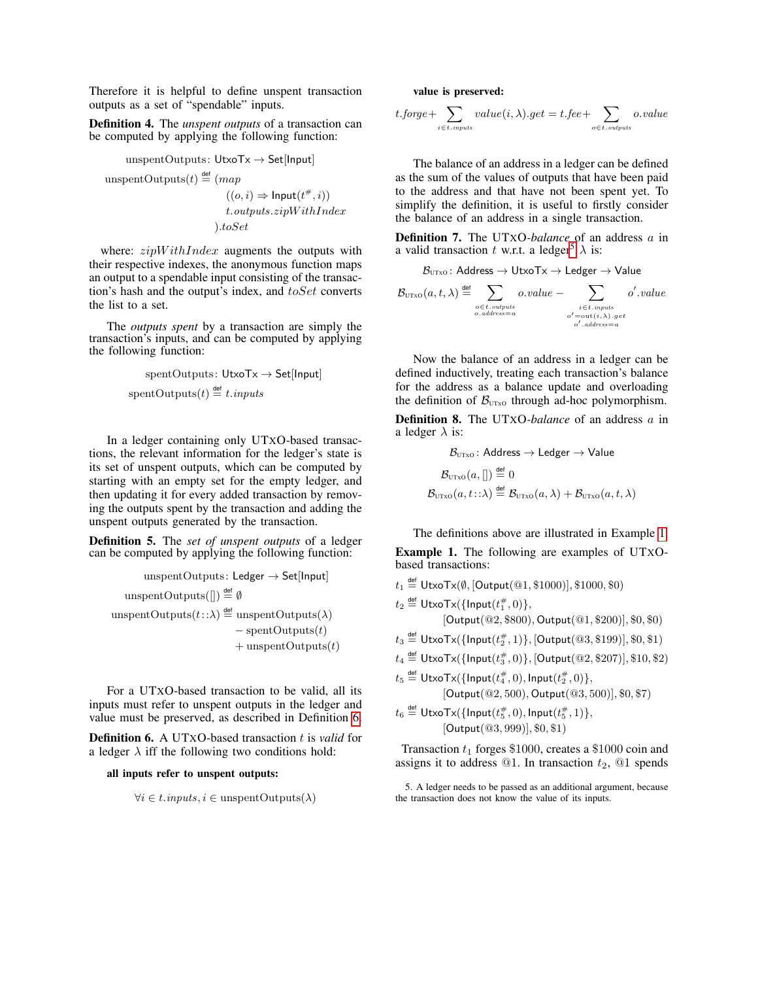Therefore it is helpful to define unspent transaction outputs as a set of "spendable" inputs.

Definition 4. The *unspent outputs* of a transaction can be computed by applying the following function:

unspentOutputs: 
$$
UtxoTx \rightarrow Set[Input]
$$
  
unspentOutputs(t)  $\stackrel{\text{def}}{=} (map$ 

 $((o, i) \Rightarrow \text{Input}(t^{\#}, i))$ t.outputs.zipW ithIndex ).toSet

where:  $zipWithIndex$  augments the outputs with their respective indexes, the anonymous function maps an output to a spendable input consisting of the transaction's hash and the output's index, and  $toSet$  converts the list to a set.

The *outputs spent* by a transaction are simply the transaction's inputs, and can be computed by applying the following function:

$$
spentOutputs: UtxoTx \to Set[Input]
$$
  
spentOutputs(t)  $\stackrel{\text{def}}{=} t. inputs$ 

In a ledger containing only UTXO-based transactions, the relevant information for the ledger's state is its set of unspent outputs, which can be computed by starting with an empty set for the empty ledger, and then updating it for every added transaction by removing the outputs spent by the transaction and adding the unspent outputs generated by the transaction.

Definition 5. The *set of unspent outputs* of a ledger can be computed by applying the following function:

$$
\begin{aligned} \text{unspentOutputs: Ledge} \rightarrow \text{Set[Input]} \\ \text{unspentOutputs}(\text{[]}) & \stackrel{\text{def}}{=} \emptyset \\ & \text{unspentOutputs}(t: : \lambda) \stackrel{\text{def}}{=} \text{unspentOutputs}(\lambda) \\ &- \text{ spentOutputs}(t) \\ & + \text{unspentOutputs}(t) \end{aligned}
$$

For a UTXO-based transaction to be valid, all its inputs must refer to unspent outputs in the ledger and value must be preserved, as described in Definition [6.](#page-3-0)

<span id="page-3-0"></span>**Definition 6.** A UTXO-based transaction t is *valid* for a ledger  $\lambda$  iff the following two conditions hold:

#### all inputs refer to unspent outputs:

 $\forall i \in t \mathit{.inputs}, i \in \text{unspentOutputs}(\lambda)$ 

value is preserved:

$$
t.\textit{forget} + \sum_{i \in t.\textit{inputs}} value(i, \lambda).get = t.\textit{fee} + \sum_{o \in t.\textit{outputs}} o.\textit{value}
$$

The balance of an address in a ledger can be defined as the sum of the values of outputs that have been paid to the address and that have not been spent yet. To simplify the definition, it is useful to firstly consider the balance of an address in a single transaction.

Definition 7. The UTXO*-balance* of an address a in a valid transaction t w.r.t. a ledger<sup>[5](#page-3-1)</sup>  $\lambda$  is:

$$
\mathcal{B}_{\text{UTxo}}\colon\mathsf{Address}\to\mathsf{UtxoTx}\to\mathsf{Ledge}\to\mathsf{Value}
$$

$$
\mathcal{B}_{\text{UTxo}}(a, t, \lambda) \stackrel{\text{def}}{=} \sum_{\substack{o \in t. \text{ outputs} \\ o. \text{ address} = a}} o.value - \sum_{\substack{i \in t. \text{ inputs} \\ o' = \text{out}(i, \lambda). \text{ get} \\ o'. \text{ address} = a}} o'.value
$$

Now the balance of an address in a ledger can be defined inductively, treating each transaction's balance for the address as a balance update and overloading the definition of  $\mathcal{B}_{\text{UTXO}}$  through ad-hoc polymorphism.

Definition 8. The UTXO*-balance* of an address a in a ledger  $\lambda$  is:

$$
\mathcal{B}_{\text{UTxo}} \colon \text{Address} \to \text{Ledger} \to \text{Value}
$$
\n
$$
\mathcal{B}_{\text{UTxo}}(a, [] \stackrel{\text{def}}{=} 0
$$
\n
$$
\mathcal{B}_{\text{UTxo}}(a, t : : \lambda) \stackrel{\text{def}}{=} \mathcal{B}_{\text{UTxo}}(a, \lambda) + \mathcal{B}_{\text{UTxo}}(a, t, \lambda)
$$

The definitions above are illustrated in Example [1.](#page-3-2)

<span id="page-3-2"></span>Example 1. The following are examples of UTXObased transactions:

 $t_1 \stackrel{\scriptscriptstyle{\mathsf{def}}}{=} \mathsf{UtxoTx}(\emptyset, [\mathsf{Output}(\textcircled{01}, \$1000)], \$1000, \$0)$ 

 $t_2 \stackrel{\mathsf{def}}{=} \mathsf{UtxoTx}(\{\mathsf{Input}(t_1^\#,0)\},$ 

[Output(@2, \$800), Output(@1, \$200)], \$0, \$0)

 $t_3 \stackrel{\mathsf{def}}{=} \mathsf{UtxoTx}(\{\mathsf{Input}(t_2^\#,1)\},[\mathsf{Output}(\mathsf{@} 3, \$199)],\$0,\$1)$ 

 $t_4\stackrel{\text{def}}{=} \mathsf{UtxoTx}(\{\mathsf{Input}(t_3^\#,0)\},[\mathsf{Output}(\textcircled{2},\$207)],\$10,\$2)$ 

 $t_5 \stackrel{\mathsf{def}}{=} \mathsf{UtxoTx}(\{\mathsf{Input}(t_4^\#,0),\mathsf{Input}(t_2^\#,0)\},$ [Output(@2, 500), Output(@3, 500)], \$0, \$7)

 $t_6 \stackrel{\mathsf{def}}{=} \mathsf{UtxoTx}(\{\mathsf{Input}(t_5^{\#},0), \mathsf{Input}(t_5^{\#},1)\},$ [Output(@3, 999)], \$0, \$1)

Transaction  $t_1$  forges \$1000, creates a \$1000 coin and assigns it to address  $@1$ . In transaction  $t_2$ ,  $@1$  spends

<span id="page-3-1"></span>5. A ledger needs to be passed as an additional argument, because the transaction does not know the value of its inputs.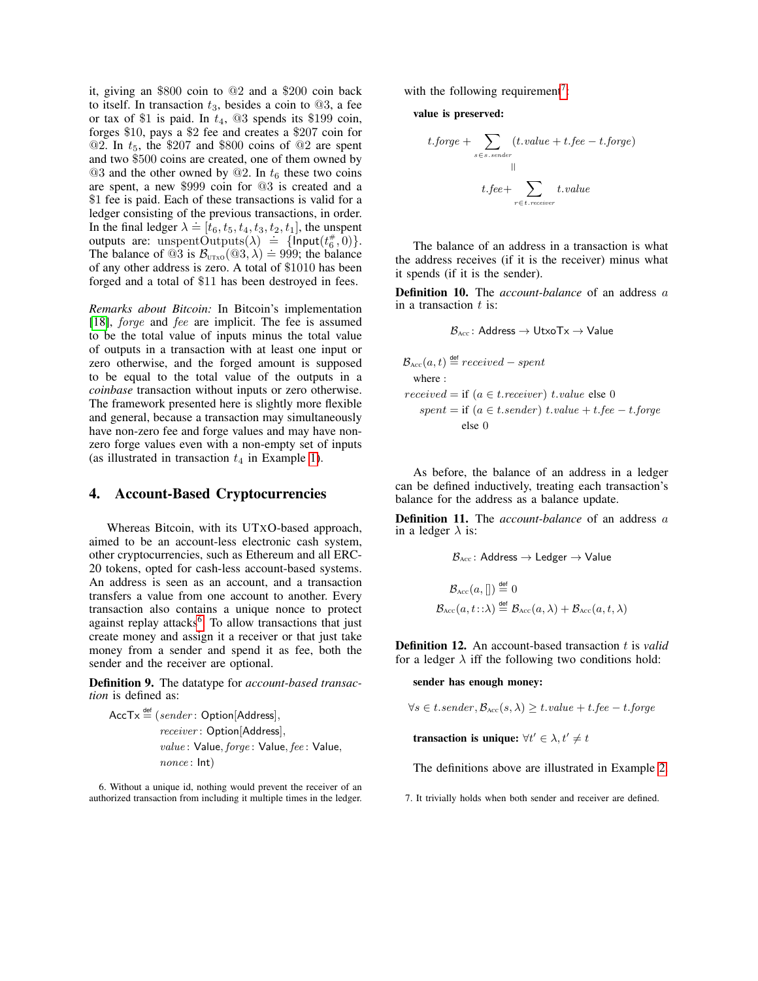it, giving an \$800 coin to @2 and a \$200 coin back to itself. In transaction  $t_3$ , besides a coin to  $@3$ , a fee or tax of \$1 is paid. In  $t_4$ , @3 spends its \$199 coin, forges \$10, pays a \$2 fee and creates a \$207 coin for  $@2.$  In  $t_5$ , the \$207 and \$800 coins of  $@2$  are spent and two \$500 coins are created, one of them owned by  $@3$  and the other owned by  $@2$ . In  $t_6$  these two coins are spent, a new \$999 coin for @3 is created and a \$1 fee is paid. Each of these transactions is valid for a ledger consisting of the previous transactions, in order. In the final ledger  $\lambda = [t_6, t_5, t_4, t_3, t_2, t_1]$ , the unspent outputs are: unspentOutputs( $\lambda$ ) = {lnput( $t_6^*(0,0)$ }. The balance of  $\mathcal{Q}_3$  is  $\mathcal{B}_{UTX0}(\mathcal{Q}_3,\lambda) \doteq 999$ ; the balance of any other address is zero. A total of \$1010 has been forged and a total of \$11 has been destroyed in fees.

*Remarks about Bitcoin:* In Bitcoin's implementation [\[18\]](#page-10-0), *forge* and *fee* are implicit. The fee is assumed to be the total value of inputs minus the total value of outputs in a transaction with at least one input or zero otherwise, and the forged amount is supposed to be equal to the total value of the outputs in a *coinbase* transaction without inputs or zero otherwise. The framework presented here is slightly more flexible and general, because a transaction may simultaneously have non-zero fee and forge values and may have nonzero forge values even with a non-empty set of inputs (as illustrated in transaction  $t_4$  in Example [1\)](#page-3-2).

#### <span id="page-4-0"></span>4. Account-Based Cryptocurrencies

Whereas Bitcoin, with its UTXO-based approach, aimed to be an account-less electronic cash system, other cryptocurrencies, such as Ethereum and all ERC-20 tokens, opted for cash-less account-based systems. An address is seen as an account, and a transaction transfers a value from one account to another. Every transaction also contains a unique nonce to protect against replay attacks<sup>[6](#page-4-1)</sup>. To allow transactions that just create money and assign it a receiver or that just take money from a sender and spend it as fee, both the sender and the receiver are optional.

Definition 9. The datatype for *account-based transaction* is defined as:

$$
\begin{aligned} \mathsf{AccTx} \stackrel{\mathsf{def}}{=} & (sender: \mathsf{Option}[\mathsf{Address}], \\ \textit{receiver: \mathsf{Option}[\mathsf{Address}], \\ \textit{value: \mathsf{Value}, \mathit{forget: \mathsf{Value}, \mathit{fee: \mathsf{Value}, \mathit{none: \mathsf{Index}}}, \end{aligned}
$$

<span id="page-4-1"></span>6. Without a unique id, nothing would prevent the receiver of an authorized transaction from including it multiple times in the ledger.

with the following requirement<sup>[7](#page-4-2)</sup>:

value is preserved:

$$
t.forge + \sum_{s \in s. sender} (t.value + t.fee - t.forge)
$$
  
||  

$$
t.fee + \sum_{r \in t. receiver} t.value
$$

The balance of an address in a transaction is what the address receives (if it is the receiver) minus what it spends (if it is the sender).

Definition 10. The *account-balance* of an address a in a transaction  $t$  is:

$$
\mathcal{B}_{\text{Acc}} \colon \text{Address} \to \text{UtxoTx} \to \text{Value}
$$

$$
\mathcal{B}_{\text{Acc}}(a, t) \stackrel{\text{def}}{=} received - spent
$$
\nwhere :  
\n
$$
received = \text{if } (a \in t \text{.receiver}) \text{ t. value else } 0
$$
\n
$$
spent = \text{if } (a \in t \text{.sender}) \text{ t. value} + t \text{.fee} - t \text{.forget}
$$
\n
$$
\text{ else } 0
$$

As before, the balance of an address in a ledger can be defined inductively, treating each transaction's balance for the address as a balance update.

Definition 11. The *account-balance* of an address a in a ledger  $\lambda$  is:

$$
\mathcal{B}_{\text{Acc}}: \text{Address} \to \text{Ledger} \to \text{Value}
$$
\n
$$
\mathcal{B}_{\text{Acc}}(a, [] \stackrel{\text{def}}{=} 0
$$
\n
$$
\mathcal{B}_{\text{Acc}}(a, t : : \lambda) \stackrel{\text{def}}{=} \mathcal{B}_{\text{Acc}}(a, \lambda) + \mathcal{B}_{\text{Acc}}(a, t, \lambda)
$$

Definition 12. An account-based transaction t is *valid* for a ledger  $\lambda$  iff the following two conditions hold:

sender has enough money:

 $\forall s \in t.\mathit{sender}, \mathcal{B}_{\text{Acc}}(s, \lambda) \geq t.\mathit{value} + t.\mathit{fee} - t.\mathit{forget}$ 

transaction is unique:  $\forall t' \in \lambda, t' \neq t$ 

The definitions above are illustrated in Example [2.](#page-5-1)

<span id="page-4-2"></span>7. It trivially holds when both sender and receiver are defined.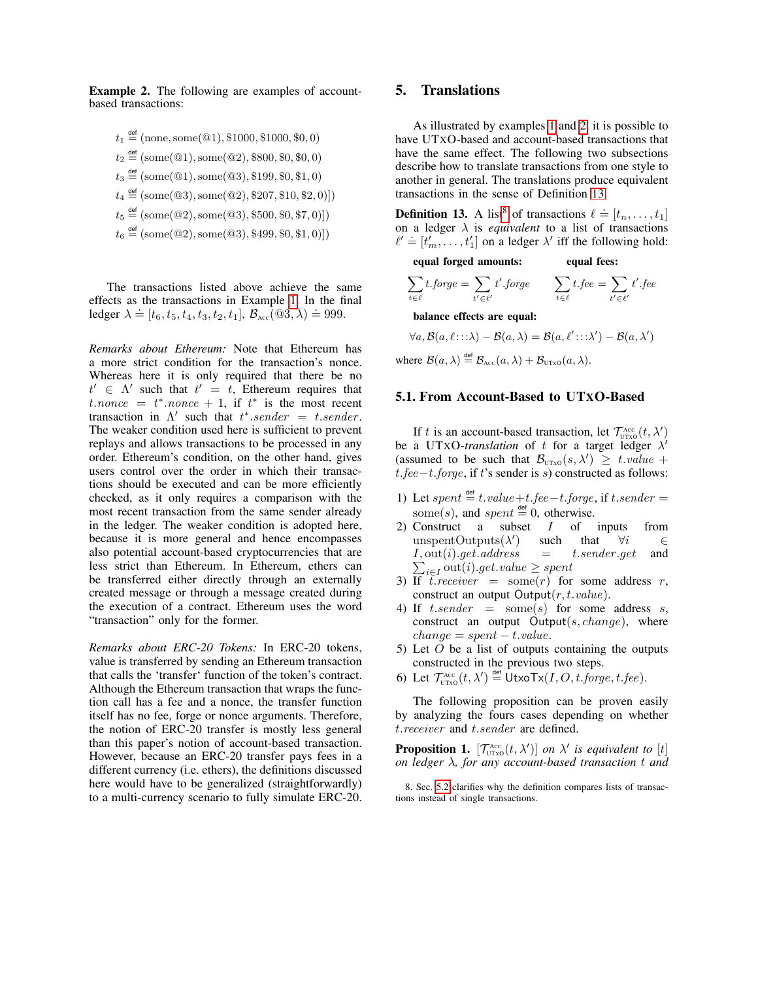<span id="page-5-1"></span>Example 2. The following are examples of accountbased transactions:

 $t_1 \stackrel{\text{def}}{=} (\text{none}, \text{some}(\textcircled{a}1), \$1000, \$1000, \$0, 0)$  $t_2 \stackrel{\text{def}}{=} (\text{some}(\textcircled{a}1), \text{some}(\textcircled{a}2), \$800, \$0, \$0, 0)$  $t_3 \stackrel{\text{def}}{=} (\text{some}(\textcircled{a}1), \text{some}(\textcircled{a}3), \$199, \$0, \$1, 0)$  $t_4 \stackrel{\text{def}}{=} (\text{some}(\textcircled{a}3), \text{some}(\textcircled{a}2), \$207, \$10, \$2, 0)])$  $t_5 \stackrel{\text{def}}{=} (\text{some}(\textcircled{a}2), \text{some}(\textcircled{a}3), \$500, \$0, \$7, 0)])$  $t_6 \stackrel{\text{def}}{=} (\text{some}(\textcircled{a}2), \text{some}(\textcircled{a}3), \$499, \$0, \$1, 0)])$ 

The transactions listed above achieve the same effects as the transactions in Example [1.](#page-3-2) In the final ledger  $\lambda = [t_6, t_5, t_4, t_3, t_2, t_1], B_{\text{Acc}}(\textcircled{3}, \lambda) = 999.$ 

*Remarks about Ethereum:* Note that Ethereum has a more strict condition for the transaction's nonce. Whereas here it is only required that there be no  $t' \in \Lambda'$  such that  $t' = t$ , Ethereum requires that  $t$ .nonce =  $t^*$ .nonce + 1, if  $t^*$  is the most recent transaction in  $\Lambda'$  such that  $t^*$ .sender = t.sender. The weaker condition used here is sufficient to prevent replays and allows transactions to be processed in any order. Ethereum's condition, on the other hand, gives users control over the order in which their transactions should be executed and can be more efficiently checked, as it only requires a comparison with the most recent transaction from the same sender already in the ledger. The weaker condition is adopted here, because it is more general and hence encompasses also potential account-based cryptocurrencies that are less strict than Ethereum. In Ethereum, ethers can be transferred either directly through an externally created message or through a message created during the execution of a contract. Ethereum uses the word "transaction" only for the former.

*Remarks about ERC-20 Tokens:* In ERC-20 tokens, value is transferred by sending an Ethereum transaction that calls the 'transfer' function of the token's contract. Although the Ethereum transaction that wraps the function call has a fee and a nonce, the transfer function itself has no fee, forge or nonce arguments. Therefore, the notion of ERC-20 transfer is mostly less general than this paper's notion of account-based transaction. However, because an ERC-20 transfer pays fees in a different currency (i.e. ethers), the definitions discussed here would have to be generalized (straightforwardly) to a multi-currency scenario to fully simulate ERC-20.

# <span id="page-5-0"></span>5. Translations

As illustrated by examples [1](#page-3-2) and [2,](#page-5-1) it is possible to have UTXO-based and account-based transactions that have the same effect. The following two subsections describe how to translate transactions from one style to another in general. The translations produce equivalent transactions in the sense of Definition [13.](#page-5-2)

<span id="page-5-2"></span>**Definition 13.** A list<sup>[8](#page-5-3)</sup> of transactions  $\ell \doteq [t_n, \ldots, t_1]$ on a ledger  $\lambda$  is *equivalent* to a list of transactions be a length  $\lambda$  is equivalent to a list of dansactions  $l' \doteq [t'_m, \ldots, t'_1]$  on a ledger  $\lambda'$  iff the following hold:

equal forged amounts: equal fees:

$$
\sum_{t \in \ell} t \text{.} forge = \sum_{t' \in \ell'} t' \text{.} forge \qquad \sum_{t \in \ell} t \text{.} fee = \sum_{t' \in \ell'} t' \text{.} fee
$$

balance effects are equal:

 $\forall a, \mathcal{B}(a,\ell \cdots \lambda) - \mathcal{B}(a,\lambda) = \mathcal{B}(a,\ell' \cdots \lambda') - \mathcal{B}(a,\lambda')$ 

where  $\mathcal{B}(a,\lambda) \stackrel{\text{def}}{=} \mathcal{B}_{\text{Acc}}(a,\lambda) + \mathcal{B}_{\text{UTxo}}(a,\lambda).$ 

#### 5.1. From Account-Based to UTXO-Based

If t is an account-based transaction, let  $\mathcal{T}_{\text{UTxo}}^{\text{Acc}}(t, \lambda')$ be a UTXO-*translation* of t for a target ledger  $\lambda'$ (assumed to be such that  $\mathcal{B}_{\text{UTxo}}(s, \lambda') \geq t \text{.} value +$  $t. fee - t. forge, if t's sender is s) constructed as follows:$ 

- 1) Let spent  $\stackrel{\text{def}}{=} t.value+t-fee-t.forge,$  if t.sender = some(s), and spent  $\stackrel{\text{def}}{=} 0$ , otherwise.
- 2) Construct a subset  $I$  of inputs from  $unspentOutputs(\lambda'$ such that  $\forall i \in$ <br>= t.sender.get and  $I, \text{out}(i)$ .get.address = t.sender.get and  $\sum_{i\in I} \text{out}(i).get.value \ge spent$
- 3) If  $\bar{t}$  receiver = some(r) for some address r, construct an output  $Output(r, t.value)$ .
- 4) If t.sender = some(s) for some address s, construct an output Output $(s, change)$ , where  $change = spent - t.value.$
- 5) Let  $O$  be a list of outputs containing the outputs constructed in the previous two steps.
- 6) Let  $\mathcal{T}_{\text{UTxo}}^{\text{Acc}}(t, \lambda') \stackrel{\text{def}}{=} \text{UtxoTx}(I, O, t.\text{forget}, t.\text{fee}).$

The following proposition can be proven easily by analyzing the fours cases depending on whether t.receiver and t.sender are defined.

**Proposition 1.**  $[\mathcal{T}_{UTXO}^{Acc}(t, \lambda')]$  *on*  $\lambda'$  *is equivalent to* [t] *on ledger* λ*, for any account-based transaction* t *and*

<span id="page-5-3"></span>8. Sec. [5.2](#page-6-0) clarifies why the definition compares lists of transactions instead of single transactions.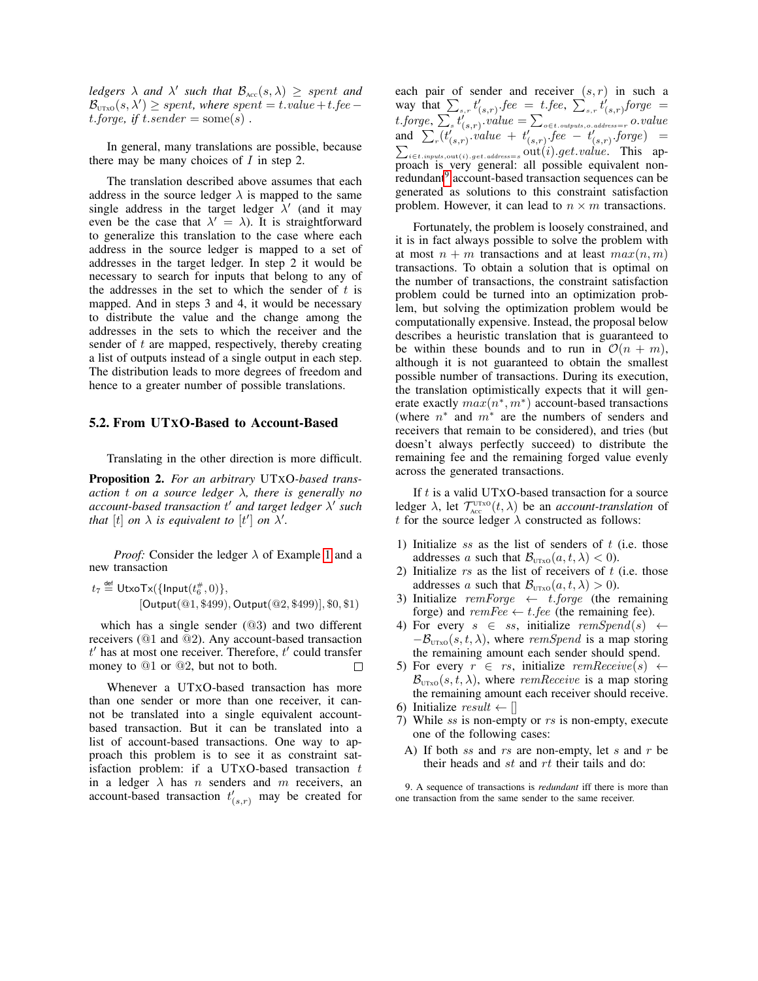*ledgers*  $\lambda$  *and*  $\lambda'$  *such that*  $\mathcal{B}_{\text{Acc}}(s, \lambda) \geq$  *spent and*  $\mathcal{B}_{\text{UTxo}}(s, \lambda') \geq spent$ , where spent = t.value + t.fee – t.forge, if  $t.\n{sender = some(s)}$ .

In general, many translations are possible, because there may be many choices of  $I$  in step 2.

The translation described above assumes that each address in the source ledger  $\lambda$  is mapped to the same single address in the target ledger  $\lambda'$  (and it may even be the case that  $\lambda' = \lambda$ ). It is straightforward to generalize this translation to the case where each address in the source ledger is mapped to a set of addresses in the target ledger. In step 2 it would be necessary to search for inputs that belong to any of the addresses in the set to which the sender of  $t$  is mapped. And in steps 3 and 4, it would be necessary to distribute the value and the change among the addresses in the sets to which the receiver and the sender of  $t$  are mapped, respectively, thereby creating a list of outputs instead of a single output in each step. The distribution leads to more degrees of freedom and hence to a greater number of possible translations.

#### <span id="page-6-0"></span>5.2. From UTXO-Based to Account-Based

Translating in the other direction is more difficult.

<span id="page-6-2"></span>Proposition 2. *For an arbitrary* UTXO*-based transaction* t *on a source ledger* λ*, there is generally no account-based transaction* t <sup>0</sup> *and target ledger* λ 0 *such that* [t] *on*  $\lambda$  *is equivalent to* [t'] *on*  $\lambda'$ *.* 

*Proof:* Consider the ledger  $\lambda$  of Example [1](#page-3-2) and a new transaction

$$
t_7 \stackrel{\text{def}}{=} \text{UtxoTx}(\{\text{Input}(t_6^{\#}, 0)\},
$$
  
[Output(@1, \$499), Output(@2, \$499)], \$0, \$1]

which has a single sender (@3) and two different receivers (@1 and @2). Any account-based transaction  $t'$  has at most one receiver. Therefore,  $t'$  could transfer money to @1 or @2, but not to both.  $\Box$ 

Whenever a UTXO-based transaction has more than one sender or more than one receiver, it cannot be translated into a single equivalent accountbased transaction. But it can be translated into a list of account-based transactions. One way to approach this problem is to see it as constraint satisfaction problem: if a UTxO-based transaction  $t$ in a ledger  $\lambda$  has n senders and m receivers, an account-based transaction  $t'_{(s,r)}$  may be created for

each pair of sender and receiver  $(s, r)$  in such a way that  $\sum_{s,r} t'_{(s,r)}$ . fee = t. fee,  $\sum_{s,r} t'_{(s,r)}$  forge =  $t.\mathit{forget}, \sum_{s} t'_{(s,r)}.value = \sum_{o \in t.\mathit{outputs}, o.\mathit{address}=r} o.\mathit{value}$ and  $\sum_{r} (t'_{(s,r)})$  value +  $t'_{(s,r)}$  fee -  $t'_{(s,r)}$  forge) =<br> $\sum_{i \in \mathcal{S}} (t'_{(s,r)})$  set ethnology out (i) get value. This ap- $\sum_{i \in t.\text{inputs,out}(i).get.address=s} \text{out}(i).get.value.$  This approach is very general: all possible equivalent non-redundant<sup>[9](#page-6-1)</sup> account-based transaction sequences can be generated as solutions to this constraint satisfaction problem. However, it can lead to  $n \times m$  transactions.

Fortunately, the problem is loosely constrained, and it is in fact always possible to solve the problem with at most  $n + m$  transactions and at least  $max(n, m)$ transactions. To obtain a solution that is optimal on the number of transactions, the constraint satisfaction problem could be turned into an optimization problem, but solving the optimization problem would be computationally expensive. Instead, the proposal below describes a heuristic translation that is guaranteed to be within these bounds and to run in  $\mathcal{O}(n + m)$ , although it is not guaranteed to obtain the smallest possible number of transactions. During its execution, the translation optimistically expects that it will generate exactly  $max(n^*, m^*)$  account-based transactions (where  $n^*$  and  $m^*$  are the numbers of senders and receivers that remain to be considered), and tries (but doesn't always perfectly succeed) to distribute the remaining fee and the remaining forged value evenly across the generated transactions.

If  $t$  is a valid UTXO-based transaction for a source ledger  $\lambda$ , let  $\mathcal{T}_{\text{Acc}}^{\text{UTxo}}(t,\lambda)$  be an *account-translation* of t for the source ledger  $\lambda$  constructed as follows:

- 1) Initialize ss as the list of senders of  $t$  (i.e. those addresses a such that  $\mathcal{B}_{\text{UTxo}}(a, t, \lambda) < 0$ ).
- 2) Initialize  $rs$  as the list of receivers of  $t$  (i.e. those addresses a such that  $\mathcal{B}_{UTXO}(a, t, \lambda) > 0$ ).
- 3) Initialize  $remForge \leftarrow t.forge$  (the remaining forge) and  $\textit{remFee} \leftarrow t.\textit{fee}$  (the remaining fee).
- 4) For every  $s \in ss$ , initialize  $remSpend(s) \leftarrow$  $-\mathcal{B}_{\text{UTxo}}(s, t, \lambda)$ , where remSpend is a map storing the remaining amount each sender should spend.
- 5) For every  $r \in rs$ , initialize  $remReceive(s) \leftarrow$  $\mathcal{B}_{\text{UTxo}}(s, t, \lambda)$ , where remReceive is a map storing the remaining amount each receiver should receive.
- 6) Initialize  $result \leftarrow []$
- 7) While  $ss$  is non-empty or  $rs$  is non-empty, execute one of the following cases:
- A) If both  $ss$  and  $rs$  are non-empty, let  $s$  and  $r$  be their heads and  $st$  and  $rt$  their tails and do:

<span id="page-6-1"></span>9. A sequence of transactions is *redundant* iff there is more than one transaction from the same sender to the same receiver.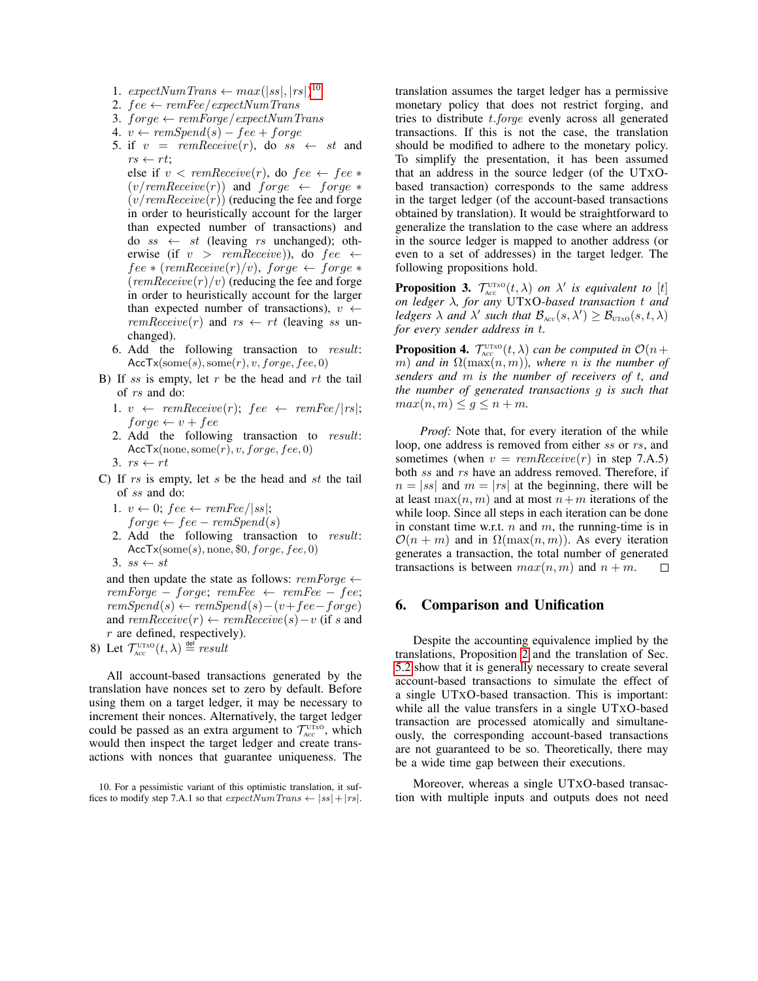- 1.  $expectNum Trans \leftarrow max(|ss|, |rs|)^{10}$  $expectNum Trans \leftarrow max(|ss|, |rs|)^{10}$  $expectNum Trans \leftarrow max(|ss|, |rs|)^{10}$
- 2.  $fee \leftarrow remFee/expectNumTrans$
- 3.  $force \leftarrow remForge/expectNumTrans$
- 4.  $v \leftarrow remSpend(s) fee + forge$
- 5. if  $v = \text{rem} \text{Receive}(r)$ , do  $ss \leftarrow st$  and  $rs \leftarrow rt$ ;

else if  $v < \text{remReceive}(r)$ , do  $fee \leftarrow fee *$  $(v/remReceive(r))$  and  $forqe \leftarrow forqe \ast$  $(v/remReceive(r))$  (reducing the fee and forge in order to heuristically account for the larger than expected number of transactions) and do  $ss \leftarrow st$  (leaving rs unchanged); otherwise (if  $v > remReceive$ )), do  $fee \leftarrow$  $fee * (remReceive(r)/v)$ , forge  $\leftarrow$  forge  $*$  $(remReceive(r)/v)$  (reducing the fee and forge in order to heuristically account for the larger than expected number of transactions),  $v \leftarrow$  $remReceive(r)$  and  $rs \leftarrow rt$  (leaving ss unchanged).

- 6. Add the following transaction to result:  $AccTx(some(s), some(r), v, forge, fee, 0)$
- B) If ss is empty, let  $r$  be the head and  $rt$  the tail of rs and do:
	- 1.  $v \leftarrow \text{remReceive}(r); \text{ fee} \leftarrow \text{remFee}/|rs|;$  $for ge \leftarrow v + fee$
	- 2. Add the following transaction to result:  $AccTx(none, some(r), v, forge, fee, 0)$
	- 3.  $rs \leftarrow rt$
- C) If  $rs$  is empty, let  $s$  be the head and  $st$  the tail of ss and do:
	- 1.  $v \leftarrow 0$ ; fee  $\leftarrow$  remFee/|ss|;  $force \leftarrow fee - remSpend(s)$
	- 2. Add the following transaction to result:  $AccTx(some(s), none, $0, forge, fee, 0)$
	- 3. ss  $\leftarrow$  st

and then update the state as follows:  $remForge \leftarrow$  $remForge - forge; remFee \leftarrow remFee - fee;$  $remSpend(s) \leftarrow remSpend(s) - (v + fee - forge)$ and  $remReceive(r) \leftarrow remReceive(s) - v$  (if s and  $r$  are defined, respectively).

8) Let  $\mathcal{T}_{\text{Acc}}^{\text{UTxo}}(t,\lambda) \stackrel{\text{def}}{=} \text{result}$ 

All account-based transactions generated by the translation have nonces set to zero by default. Before using them on a target ledger, it may be necessary to increment their nonces. Alternatively, the target ledger could be passed as an extra argument to  $\mathcal{T}_{\text{Acc}}^{\text{UTxo}}$ , which would then inspect the target ledger and create transactions with nonces that guarantee uniqueness. The translation assumes the target ledger has a permissive monetary policy that does not restrict forging, and tries to distribute t.forge evenly across all generated transactions. If this is not the case, the translation should be modified to adhere to the monetary policy. To simplify the presentation, it has been assumed that an address in the source ledger (of the UTXObased transaction) corresponds to the same address in the target ledger (of the account-based transactions obtained by translation). It would be straightforward to generalize the translation to the case where an address in the source ledger is mapped to another address (or even to a set of addresses) in the target ledger. The following propositions hold.

**Proposition 3.**  $\mathcal{T}_{\text{Acc}}^{\text{UTXO}}(t, \lambda)$  *on*  $\lambda'$  *is equivalent to* [t] *on ledger* λ*, for any* UTXO*-based transaction* t *and ledgers*  $\lambda$  *and*  $\lambda'$  *such that*  $\mathcal{B}_{\text{Acc}}(s, \lambda') \geq \mathcal{B}_{\text{UTxo}}(s, t, \lambda)$ *for every sender address in* t*.*

**Proposition 4.**  $\mathcal{T}_{\text{Acc}}^{\text{UTxo}}(t,\lambda)$  *can be computed in*  $\mathcal{O}(n+\lambda)$  $(m)$  *and in*  $\Omega(\max(n,m))$ *, where n is the number of senders and* m *is the number of receivers of* t*, and the number of generated transactions* g *is such that*  $max(n, m) \leq g \leq n + m$ .

*Proof:* Note that, for every iteration of the while loop, one address is removed from either ss or rs, and sometimes (when  $v = remReceive(r)$  in step 7.A.5) both ss and rs have an address removed. Therefore, if  $n = |ss|$  and  $m = |rs|$  at the beginning, there will be at least  $\max(n, m)$  and at most  $n+m$  iterations of the while loop. Since all steps in each iteration can be done in constant time w.r.t.  $n$  and  $m$ , the running-time is in  $\mathcal{O}(n + m)$  and in  $\Omega(\max(n, m))$ . As every iteration generates a transaction, the total number of generated transactions is between  $max(n, m)$  and  $n + m$ .  $\Box$ 

# 6. Comparison and Unification

Despite the accounting equivalence implied by the translations, Proposition [2](#page-6-2) and the translation of Sec. [5.2](#page-6-0) show that it is generally necessary to create several account-based transactions to simulate the effect of a single UTXO-based transaction. This is important: while all the value transfers in a single UTXO-based transaction are processed atomically and simultaneously, the corresponding account-based transactions are not guaranteed to be so. Theoretically, there may be a wide time gap between their executions.

Moreover, whereas a single UTXO-based transaction with multiple inputs and outputs does not need

<span id="page-7-0"></span><sup>10.</sup> For a pessimistic variant of this optimistic translation, it suffices to modify step 7.A.1 so that  $expectNum Trans \leftarrow |ss| + |rs|$ .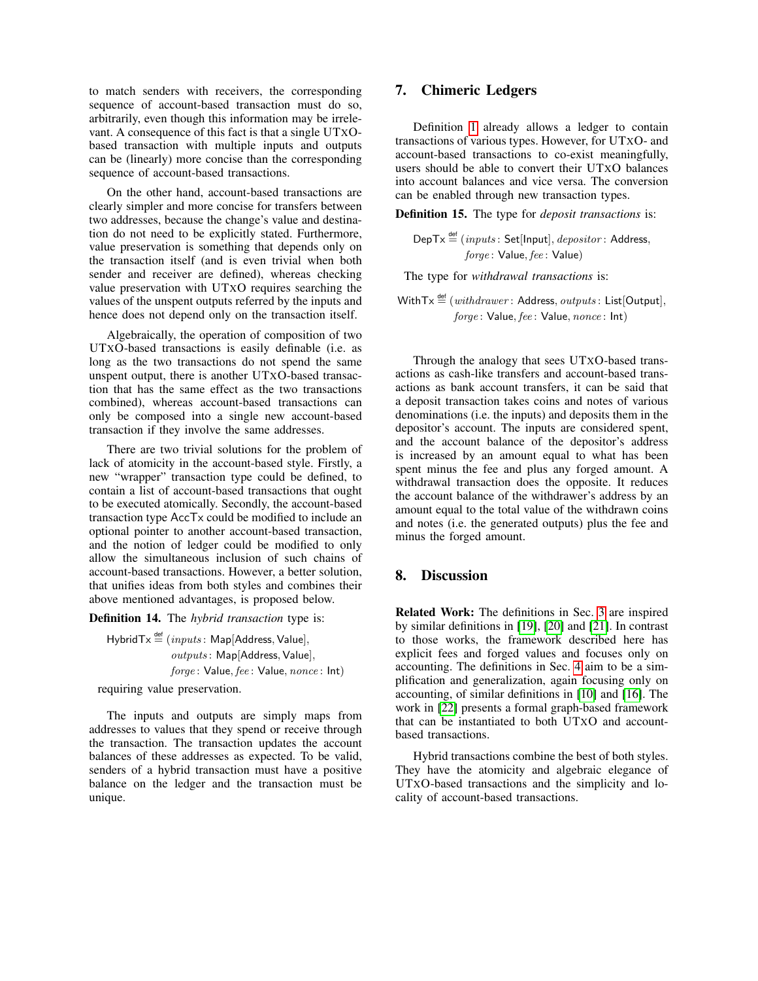to match senders with receivers, the corresponding sequence of account-based transaction must do so, arbitrarily, even though this information may be irrelevant. A consequence of this fact is that a single UTXObased transaction with multiple inputs and outputs can be (linearly) more concise than the corresponding sequence of account-based transactions.

On the other hand, account-based transactions are clearly simpler and more concise for transfers between two addresses, because the change's value and destination do not need to be explicitly stated. Furthermore, value preservation is something that depends only on the transaction itself (and is even trivial when both sender and receiver are defined), whereas checking value preservation with UTXO requires searching the values of the unspent outputs referred by the inputs and hence does not depend only on the transaction itself.

Algebraically, the operation of composition of two UTXO-based transactions is easily definable (i.e. as long as the two transactions do not spend the same unspent output, there is another UTXO-based transaction that has the same effect as the two transactions combined), whereas account-based transactions can only be composed into a single new account-based transaction if they involve the same addresses.

There are two trivial solutions for the problem of lack of atomicity in the account-based style. Firstly, a new "wrapper" transaction type could be defined, to contain a list of account-based transactions that ought to be executed atomically. Secondly, the account-based transaction type AccTx could be modified to include an optional pointer to another account-based transaction, and the notion of ledger could be modified to only allow the simultaneous inclusion of such chains of account-based transactions. However, a better solution, that unifies ideas from both styles and combines their above mentioned advantages, is proposed below.

Definition 14. The *hybrid transaction* type is:

Hybrid $T_x \stackrel{\text{def}}{=} (inputs: \text{Map}[Address, \text{Value}],$ outputs : Map[Address, Value], forge: Value, fee: Value, nonce: Int)

requiring value preservation.

The inputs and outputs are simply maps from addresses to values that they spend or receive through the transaction. The transaction updates the account balances of these addresses as expected. To be valid, senders of a hybrid transaction must have a positive balance on the ledger and the transaction must be unique.

# <span id="page-8-0"></span>7. Chimeric Ledgers

Definition [1](#page-1-1) already allows a ledger to contain transactions of various types. However, for UTXO- and account-based transactions to co-exist meaningfully, users should be able to convert their UTXO balances into account balances and vice versa. The conversion can be enabled through new transaction types.

Definition 15. The type for *deposit transactions* is:

 $\mathsf{DepTx} \stackrel{\mathsf{def}}{=} (inputs: \mathsf{Set}[\mathsf{Input}], \mathit{depositor}$ : Address, forge: Value, fee: Value)

The type for *withdrawal transactions* is:

WithTx  $\stackrel{\text{def}}{=} (with drawer: Address, outputs: List[Output],$ forge: Value, fee: Value, nonce: Int)

Through the analogy that sees UTXO-based transactions as cash-like transfers and account-based transactions as bank account transfers, it can be said that a deposit transaction takes coins and notes of various denominations (i.e. the inputs) and deposits them in the depositor's account. The inputs are considered spent, and the account balance of the depositor's address is increased by an amount equal to what has been spent minus the fee and plus any forged amount. A withdrawal transaction does the opposite. It reduces the account balance of the withdrawer's address by an amount equal to the total value of the withdrawn coins and notes (i.e. the generated outputs) plus the fee and minus the forged amount.

#### <span id="page-8-1"></span>8. Discussion

Related Work: The definitions in Sec. [3](#page-2-0) are inspired by similar definitions in [\[19\]](#page-10-1), [\[20\]](#page-10-2) and [\[21\]](#page-10-3). In contrast to those works, the framework described here has explicit fees and forged values and focuses only on accounting. The definitions in Sec. [4](#page-4-0) aim to be a simplification and generalization, again focusing only on accounting, of similar definitions in [\[10\]](#page-9-9) and [\[16\]](#page-9-12). The work in [\[22\]](#page-10-4) presents a formal graph-based framework that can be instantiated to both UTXO and accountbased transactions.

Hybrid transactions combine the best of both styles. They have the atomicity and algebraic elegance of UTXO-based transactions and the simplicity and locality of account-based transactions.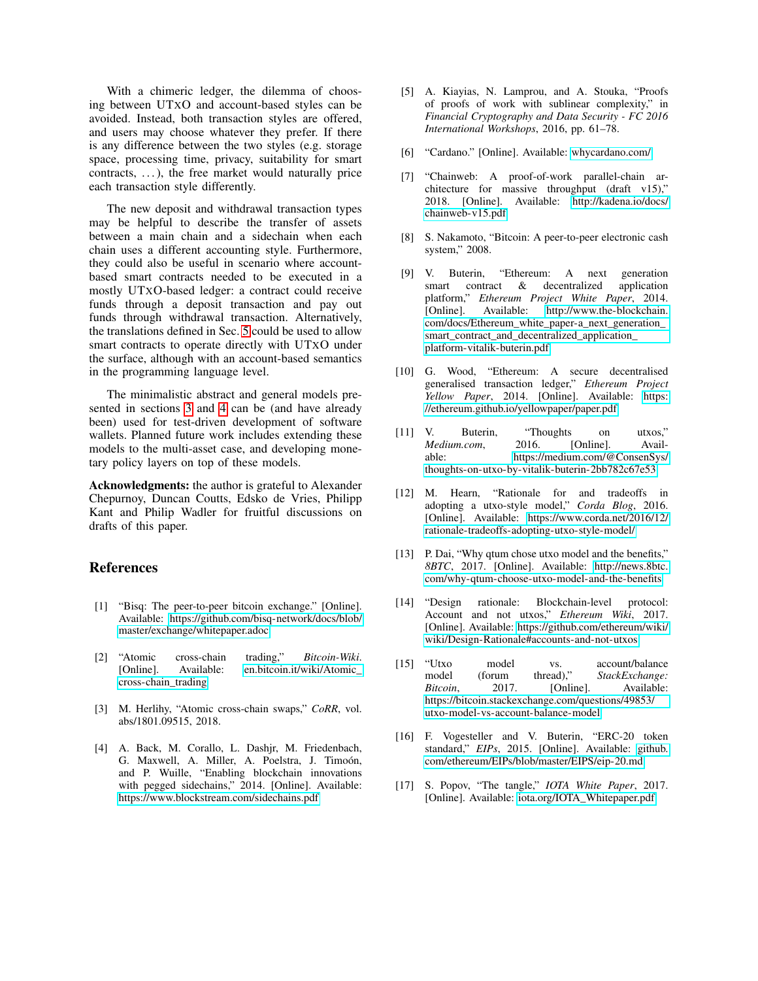With a chimeric ledger, the dilemma of choosing between UTXO and account-based styles can be avoided. Instead, both transaction styles are offered, and users may choose whatever they prefer. If there is any difference between the two styles (e.g. storage space, processing time, privacy, suitability for smart  $contrast, \ldots$ , the free market would naturally price each transaction style differently.

The new deposit and withdrawal transaction types may be helpful to describe the transfer of assets between a main chain and a sidechain when each chain uses a different accounting style. Furthermore, they could also be useful in scenario where accountbased smart contracts needed to be executed in a mostly UTXO-based ledger: a contract could receive funds through a deposit transaction and pay out funds through withdrawal transaction. Alternatively, the translations defined in Sec. [5](#page-5-0) could be used to allow smart contracts to operate directly with UTXO under the surface, although with an account-based semantics in the programming language level.

The minimalistic abstract and general models presented in sections [3](#page-2-0) and [4](#page-4-0) can be (and have already been) used for test-driven development of software wallets. Planned future work includes extending these models to the multi-asset case, and developing monetary policy layers on top of these models.

Acknowledgments: the author is grateful to Alexander Chepurnoy, Duncan Coutts, Edsko de Vries, Philipp Kant and Philip Wadler for fruitful discussions on drafts of this paper.

# References

- <span id="page-9-0"></span>[1] "Bisq: The peer-to-peer bitcoin exchange." [Online]. Available: [https://github.com/bisq-network/docs/blob/](https://github.com/bisq-network/docs/blob/master/exchange/whitepaper.adoc) [master/exchange/whitepaper.adoc](https://github.com/bisq-network/docs/blob/master/exchange/whitepaper.adoc)
- <span id="page-9-1"></span>[2] "Atomic cross-chain trading," *Bitcoin-Wiki*. [Online]. Available: [en.bitcoin.it/wiki/Atomic\\_](en.bitcoin.it/wiki/Atomic_cross-chain_trading) [cross-chain\\_trading](en.bitcoin.it/wiki/Atomic_cross-chain_trading)
- <span id="page-9-2"></span>[3] M. Herlihy, "Atomic cross-chain swaps," *CoRR*, vol. abs/1801.09515, 2018.
- <span id="page-9-3"></span>[4] A. Back, M. Corallo, L. Dashjr, M. Friedenbach, G. Maxwell, A. Miller, A. Poelstra, J. Timoón, and P. Wuille, "Enabling blockchain innovations with pegged sidechains," 2014. [Online]. Available: <https://www.blockstream.com/sidechains.pdf>
- <span id="page-9-4"></span>[5] A. Kiayias, N. Lamprou, and A. Stouka, "Proofs of proofs of work with sublinear complexity," in *Financial Cryptography and Data Security - FC 2016 International Workshops*, 2016, pp. 61–78.
- <span id="page-9-5"></span>[6] "Cardano." [Online]. Available:<whycardano.com/>
- <span id="page-9-6"></span>[7] "Chainweb: A proof-of-work parallel-chain architecture for massive throughput (draft v15)," 2018. [Online]. Available: [http://kadena.io/docs/](http://kadena.io/docs/chainweb-v15.pdf) [chainweb-v15.pdf](http://kadena.io/docs/chainweb-v15.pdf)
- <span id="page-9-7"></span>[8] S. Nakamoto, "Bitcoin: A peer-to-peer electronic cash system," 2008.
- <span id="page-9-8"></span>[9] V. Buterin, "Ethereum: A next generation smart contract & decentralized application platform," *Ethereum Project White Paper*, 2014. [Online]. Available: [http://www.the-blockchain.](http://www.the-blockchain.com/docs/Ethereum_white_paper-a_next_generation_smart_contract_and_decentralized_application_platform-vitalik-buterin.pdf) [com/docs/Ethereum\\_white\\_paper-a\\_next\\_generation\\_](http://www.the-blockchain.com/docs/Ethereum_white_paper-a_next_generation_smart_contract_and_decentralized_application_platform-vitalik-buterin.pdf) [smart\\_contract\\_and\\_decentralized\\_application\\_](http://www.the-blockchain.com/docs/Ethereum_white_paper-a_next_generation_smart_contract_and_decentralized_application_platform-vitalik-buterin.pdf) [platform-vitalik-buterin.pdf](http://www.the-blockchain.com/docs/Ethereum_white_paper-a_next_generation_smart_contract_and_decentralized_application_platform-vitalik-buterin.pdf)
- <span id="page-9-9"></span>[10] G. Wood, "Ethereum: A secure decentralised generalised transaction ledger," *Ethereum Project Yellow Paper*, 2014. [Online]. Available: [https:](https://ethereum.github.io/yellowpaper/paper.pdf) [//ethereum.github.io/yellowpaper/paper.pdf](https://ethereum.github.io/yellowpaper/paper.pdf)
- <span id="page-9-10"></span>[11] V. Buterin, "Thoughts on utxos," *Medium.com*, 2016. [Online]. Available: [https://medium.com/@ConsenSys/](https://medium.com/@ConsenSys/thoughts-on-utxo-by-vitalik-buterin-2bb782c67e53) [thoughts-on-utxo-by-vitalik-buterin-2bb782c67e53](https://medium.com/@ConsenSys/thoughts-on-utxo-by-vitalik-buterin-2bb782c67e53)
- [12] M. Hearn, "Rationale for and tradeoffs in adopting a utxo-style model," *Corda Blog*, 2016. [Online]. Available: [https://www.corda.net/2016/12/](https://www.corda.net/2016/12/rationale-tradeoffs-adopting-utxo-style-model/) [rationale-tradeoffs-adopting-utxo-style-model/](https://www.corda.net/2016/12/rationale-tradeoffs-adopting-utxo-style-model/)
- [13] P. Dai, "Why qtum chose utxo model and the benefits," *8BTC*, 2017. [Online]. Available: [http://news.8btc.](http://news.8btc.com/why-qtum-choose-utxo-model-and-the-benefits) [com/why-qtum-choose-utxo-model-and-the-benefits](http://news.8btc.com/why-qtum-choose-utxo-model-and-the-benefits)
- [14] "Design rationale: Blockchain-level protocol: Account and not utxos," *Ethereum Wiki*, 2017. [Online]. Available: [https://github.com/ethereum/wiki/](https://github.com/ethereum/wiki/wiki/Design-Rationale#accounts-and-not-utxos) [wiki/Design-Rationale#accounts-and-not-utxos](https://github.com/ethereum/wiki/wiki/Design-Rationale#accounts-and-not-utxos)
- <span id="page-9-11"></span>[15] "Utxo model vs. account/balance model (forum thread)." StackExchange: model (forum thread)," *StackExchange:*<br>Bitcoin, 2017. [Online]. Available: *Bitcoin*, 2017. [Online]. Available: [https://bitcoin.stackexchange.com/questions/49853/](https://bitcoin.stackexchange.com/questions/49853/utxo-model-vs-account-balance-model) [utxo-model-vs-account-balance-model](https://bitcoin.stackexchange.com/questions/49853/utxo-model-vs-account-balance-model)
- <span id="page-9-12"></span>[16] F. Vogesteller and V. Buterin, "ERC-20 token standard," *EIPs*, 2015. [Online]. Available: [github.](github.com/ethereum/EIPs/blob/master/EIPS/eip-20.md) [com/ethereum/EIPs/blob/master/EIPS/eip-20.md](github.com/ethereum/EIPs/blob/master/EIPS/eip-20.md)
- <span id="page-9-13"></span>[17] S. Popov, "The tangle," *IOTA White Paper*, 2017. [Online]. Available: [iota.org/IOTA\\_Whitepaper.pdf](iota.org/IOTA_Whitepaper.pdf)